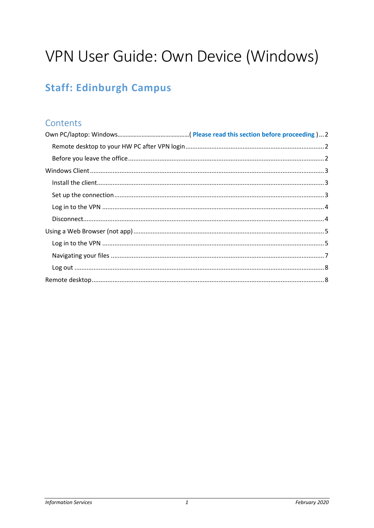# VPN User Guide: Own Device (Windows)

# **Staff: Edinburgh Campus**

# Contents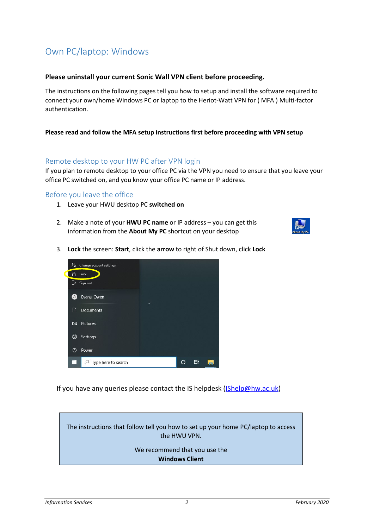# <span id="page-1-0"></span>Own PC/laptop: Windows

#### **Please uninstall your current Sonic Wall VPN client before proceeding.**

The instructions on the following pages tell you how to setup and install the software required to connect your own/home Windows PC or laptop to the Heriot-Watt VPN for ( MFA ) Multi-factor authentication.

#### **Please read and follow the MFA setup instructions first before proceeding with VPN setup**

#### <span id="page-1-1"></span>Remote desktop to your HW PC after VPN login

If you plan to remote desktop to your office PC via the VPN you need to ensure that you leave your office PC switched on, and you know your office PC name or IP address.

#### <span id="page-1-2"></span>Before you leave the office

- 1. Leave your HWU desktop PC **switched on**
- 2. Make a note of your **HWU PC name** or IP address you can get this information from the **About My PC** shortcut on your desktop



3. **Lock** the screen: **Start**, click the **arrow** to right of Shut down, click **Lock**



If you have any queries please contact the IS helpdesk [\(IShelp@hw.ac.uk\)](mailto:IShelp@hw.ac.uk)

The instructions that follow tell you how to set up your home PC/laptop to access the HWU VPN.

> <span id="page-1-3"></span>We recommend that you use the **Windows Client**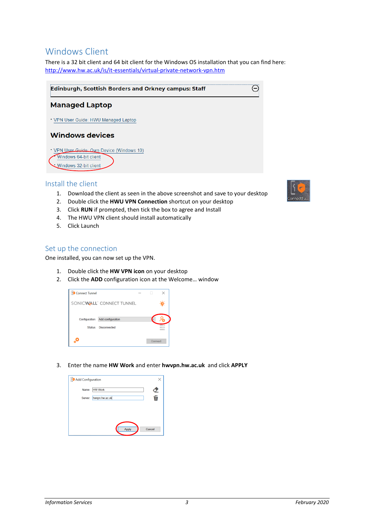### Windows Client

There is a 32 bit client and 64 bit client for the Windows OS installation that you can find here: <http://www.hw.ac.uk/is/it-essentials/virtual-private-network-vpn.htm>

| <b>Edinburgh, Scottish Borders and Orkney campus: Staff</b>                               |  |
|-------------------------------------------------------------------------------------------|--|
| <b>Managed Laptop</b>                                                                     |  |
| VPN User Guide: HWU Managed Laptop                                                        |  |
| <b>Windows devices</b>                                                                    |  |
| VPN User Guide: Own Device (Windows 10)<br>Windows 64-bit client<br>Windows 32-bit client |  |

#### <span id="page-2-0"></span>Install the client

- 1. Download the client as seen in the above screenshot and save to your desktop
- 2. Double click the **HWU VPN Connection** shortcut on your desktop
- 3. Click **RUN** if prompted, then tick the box to agree and Install
- 4. The HWU VPN client should install automatically
- 5. Click Launch

#### <span id="page-2-1"></span>Set up the connection

One installed, you can now set up the VPN.

- 1. Double click the **HW VPN icon** on your desktop
- 2. Click the **ADD** configuration icon at the Welcome… window



3. Enter the name **HW Work** and enter **hwvpn.hw.ac.uk** and click **APPLY**

| <b>?</b> Add Configuration |                | $\times$ |
|----------------------------|----------------|----------|
| Name:                      | <b>HW Work</b> | 之后       |
| Server:                    | hwypn.hw.ac.uk |          |
|                            |                |          |
|                            |                |          |
|                            |                |          |
|                            | Apply          | Cancel   |

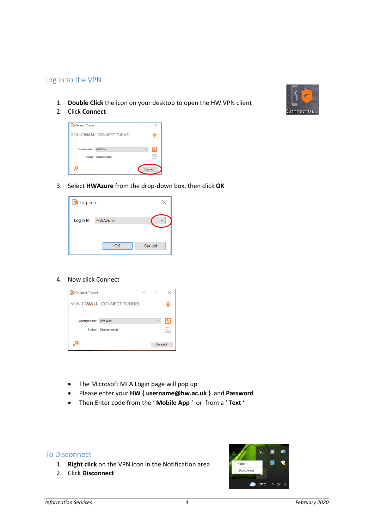#### <span id="page-3-0"></span>Log in to the VPN

- 1. **Double Click** the icon on your desktop to open the HW VPN client
- 2. Click **Connect**



3. Select **HWAzure** from the drop-down box, then click **OK**

| <b>Log</b> in to |                |        |
|------------------|----------------|--------|
| Log in to:       | <b>HWAzure</b> |        |
|                  | OK             | Cancel |

#### 4. Now click Connect

| <b>Connect Tunnel</b><br><b>PG</b> |                                       |              |        |
|------------------------------------|---------------------------------------|--------------|--------|
|                                    | SONICWALL <sup>®</sup> CONNECT TUNNEL |              |        |
| Configuration:<br>Status:          | <b>HW Work</b><br><b>Disconnected</b> | $\checkmark$ | 目<br>≣ |
|                                    |                                       | Connect      |        |

- The Microsoft MFA Login page will pop up
- Please enter your **HW { username@hw.ac.uk }** and **Password**
- Then Enter code from the ' **Mobile App** ' or from a ' **Text** '

#### <span id="page-3-1"></span>To Disconnect

- 1. **Right click** on the VPN icon in the Notification area
- 2. Click **Disconnect**



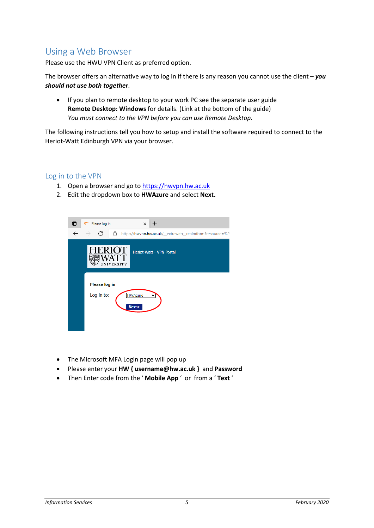# <span id="page-4-0"></span>Using a Web Browser

Please use the HWU VPN Client as preferred option.

The browser offers an alternative way to log in if there is any reason you cannot use the client – *you should not use both together*.

• If you plan to remote desktop to your work PC see the separate user guide **Remote Desktop: Windows** for details. (Link at the bottom of the guide) *You must connect to the VPN before you can use Remote Desktop.*

The following instructions tell you how to setup and install the software required to connect to the Heriot-Watt Edinburgh VPN via your browser.

#### <span id="page-4-1"></span>Log in to the VPN

- 1. Open a browser and go to [https://hwvpn.hw.ac.uk](https://hwvpn.hw.ac.uk/)
- 2. Edit the dropdown box to **HWAzure** and select **Next.**



- The Microsoft MFA Login page will pop up
- Please enter your **HW { username@hw.ac.uk }** and **Password**
- Then Enter code from the ' **Mobile App** ' or from a ' **Text** '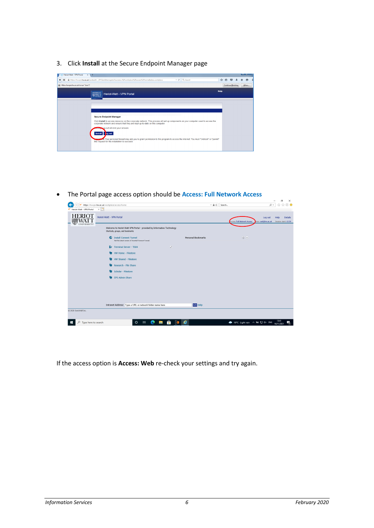3. Click **Install** at the Secure Endpoint Manager page



• The Portal page access option should be **Access: Full Network Access**

|                                 | https://hwvpn.hw.ac.uk/workplace/access/home                                                               | $-AC$               | Search                             | ×<br>m<br>命☆您●<br>0 +                                                    |
|---------------------------------|------------------------------------------------------------------------------------------------------------|---------------------|------------------------------------|--------------------------------------------------------------------------|
| Heriot-Watt - VPN Portal        | $\times$ $\square^*$                                                                                       |                     |                                    |                                                                          |
| <b>HERIOT</b><br><b>WATT</b>    | Heriot-Watt - VPN Portal                                                                                   |                     | <b>Access: Full Network Access</b> | Log out<br>Details<br>Help<br>Jser: oe6@hw.ac.uk<br>Session start: 13:39 |
|                                 | Welcome to Heriot Watt VPN Portal - provided by Information Technology<br>Shortcuts, groups, and bookmarks |                     |                                    |                                                                          |
|                                 | ⊕<br><b>Install Connect Tunnel</b><br>Get the latest version of Avental Connect Tunnel.                    | Personal Bookmarks  | $(d\mu)$ $=$                       |                                                                          |
|                                 | F# Terminal Server - TS04                                                                                  | $\varnothing$       |                                    |                                                                          |
|                                 | <b>HW Home - Filestore</b>                                                                                 |                     |                                    |                                                                          |
|                                 | <b>HW Shared - Filestore</b>                                                                               |                     |                                    |                                                                          |
|                                 | ۰<br>Research - File Share                                                                                 |                     |                                    |                                                                          |
|                                 | ٠<br>Scholar - Filestore                                                                                   |                     |                                    |                                                                          |
|                                 | EPS Admin Share                                                                                            |                     |                                    |                                                                          |
|                                 |                                                                                                            |                     |                                    |                                                                          |
|                                 |                                                                                                            |                     |                                    |                                                                          |
|                                 |                                                                                                            |                     |                                    |                                                                          |
|                                 | Intranet Address: Type a URL or network folder name here                                                   | <b>GO</b> Help      |                                    |                                                                          |
| C 2020 SonicWall Inc.           |                                                                                                            |                     |                                    |                                                                          |
| $\rho$ Type here to search<br>Æ | 軍<br>$\circ$<br>c<br><b>COL</b>                                                                            | $\blacksquare$<br>m | ● 10℃ Lightrain へ知 口 ok ENG        | 13:41<br>勖<br>16/11/2021                                                 |

If the access option is **Access: Web** re-check your settings and try again.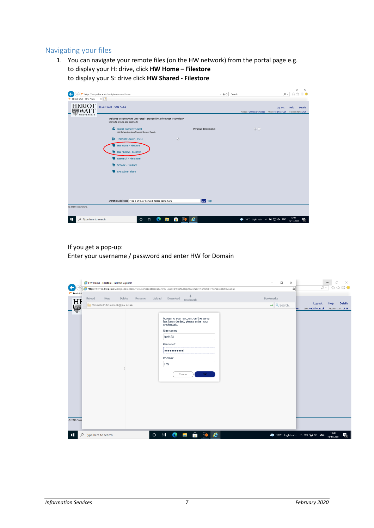#### <span id="page-6-0"></span>Navigating your files

1. You can navigate your remote files (on the HW network) from the portal page e.g. to display your H: drive, click **HW Home – Filestore**  to display your S: drive click **HW Shared - Filestore**

|                                         |                                                                                                            |                    |                                  | $\times$<br>σ                                                                   |
|-----------------------------------------|------------------------------------------------------------------------------------------------------------|--------------------|----------------------------------|---------------------------------------------------------------------------------|
|                                         | https://hwvpn.hw.ac.uk/workplace/access/home                                                               | $- 0$              | Search                           | 价 ☆ 戀 ●<br>- ۹                                                                  |
| $\times$<br>Heriot-Watt - VPN Portal    |                                                                                                            |                    |                                  |                                                                                 |
| <b>HERIOT</b><br>☜<br><b>UNIVERSITY</b> | Heriot-Watt - VPN Portal                                                                                   |                    | Access: Full Network Access      | Log out<br>Help<br><b>Details</b><br>User: oe6@hw.ac.uk<br>Session start: 13:39 |
|                                         | Welcome to Heriot Watt VPN Portal - provided by Information Technology<br>Shortcuts, groups, and bookmarks |                    |                                  |                                                                                 |
|                                         | <b><i>C</i></b> Install Connect Tunnel<br>Get the latest version of Aventail Connect Tunnel.               | Personal Bookmarks | $q_p =$                          |                                                                                 |
|                                         | F Terminal Server - TS04<br>$\mathcal{D}$                                                                  |                    |                                  |                                                                                 |
|                                         | HW Home - Filestore                                                                                        |                    |                                  |                                                                                 |
|                                         | <b>HW Shared - Filestore</b>                                                                               |                    |                                  |                                                                                 |
|                                         | Research - File Share                                                                                      |                    |                                  |                                                                                 |
|                                         | Scholar - Filestore<br>۰                                                                                   |                    |                                  |                                                                                 |
|                                         | EPS Admin Share                                                                                            |                    |                                  |                                                                                 |
|                                         |                                                                                                            |                    |                                  |                                                                                 |
|                                         |                                                                                                            |                    |                                  |                                                                                 |
|                                         |                                                                                                            |                    |                                  |                                                                                 |
|                                         |                                                                                                            |                    |                                  |                                                                                 |
|                                         | Intranet Address: Type a URL or network folder name here                                                   | <b>GO</b> Help     |                                  |                                                                                 |
| C 2020 SonicWall Inc.                   |                                                                                                            |                    |                                  |                                                                                 |
| $\circ$<br>Type here to search          | ÷<br>F<br>Ξi<br>$\circ$<br><b>COL</b><br>$\mathbf{r}$                                                      | e                  | → 10°C Light rain < 10 12 dx ENG | 13:41<br>看<br>16/11/2021                                                        |

If you get a pop-up:

Enter your username / password and enter HW for Domain

| Heriot-V                                   | ÷                                                                                                                                                                 |                                                                        |                                        |
|--------------------------------------------|-------------------------------------------------------------------------------------------------------------------------------------------------------------------|------------------------------------------------------------------------|----------------------------------------|
| Reload<br>Delete<br><b>New</b><br>Rename   | Upload<br>Download<br>Bookmark                                                                                                                                    | Bookmarks                                                              |                                        |
| <b>HH</b><br>//homefs01/home/oe6@hw.ac.uk/ |                                                                                                                                                                   | Log out<br>Help<br>$\rightarrow$ Q search<br>User: oe6@hw.ac.uk<br>ess | <b>Details</b><br>Session start: 13:39 |
|                                            | Access to your account on the server<br>has been denied, please enter your<br>credentials.<br>Username:<br>test123<br>Password:<br>Domain:<br>HW<br>OK.<br>Cancel |                                                                        |                                        |